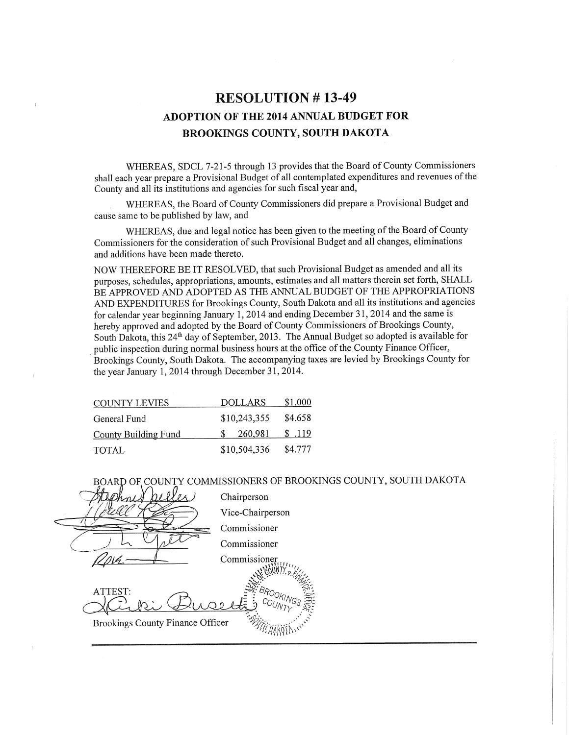# **RESOLUTION #13-49 ADOPTION OF THE 2014 ANNUAL BUDGET FOR BROOKINGS COUNTY, SOUTH DAKOTA**

WHEREAS, SDCL 7-21-5 through 13 provides that the Board of County Commissioners shall each year prepare a Provisional Budget of all contemplated expenditures and revenues of the County and all its institutions and agencies for such fiscal year and,

WHEREAS, the Board of County Commissioners did prepare a Provisional Budget and cause same to be published by law, and

WHEREAS, due and legal notice has been given to the meeting of the Board of County Commissioners for the consideration of such Provisional Budget and all changes, eliminations and additions have been made thereto.

NOW THEREFORE BE IT RESOLVED, that such Provisional Budget as amended and all its purposes, schedules, appropriations, amounts, estimates and all matters therein set forth, SHALL BE APPROVED AND ADOPTED AS THE ANNUAL BUDGET OF THE APPROPRIATIONS AND EXPENDITURES for Brookings County, South Dakota and all its institutions and agencies for calendar year beginning January 1, 2014 and ending December 31, 2014 and the same is hereby approved and adopted by the Board of County Commissioners of Brookings County, South Dakota, this 24<sup>th</sup> day of September, 2013. The Annual Budget so adopted is available for public inspection during normal business hours at the office of the County Finance Officer, Brookings County, South Dakota. The accompanying taxes are levied by Brookings County for the year January 1, 2014 through December 31, 2014.

| <b>COUNTY LEVIES</b>        | <b>DOLLARS</b> | \$1,000 |
|-----------------------------|----------------|---------|
| General Fund                | \$10,243,355   | \$4.658 |
| <b>County Building Fund</b> | 260.981        | \$ .119 |
| <b>TOTAL</b>                | \$10,504,336   | \$4.777 |

BOARD OF COUNTY COMMISSIONERS OF BROOKINGS COUNTY, SOUTH DAKOTA

Chairperson Vice-Chairperson Commissioner Commissioner Commissione ATTEST **Brookings County Finance Officer**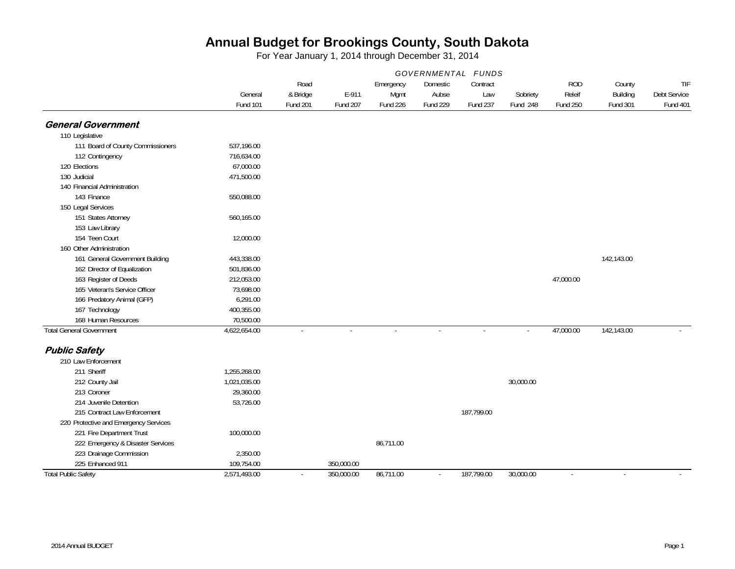|                                       | GOVERNMENTAL<br><i>FUNDS</i> |                             |                   |                  |                          |                 |                      |                           |                      |                                 |
|---------------------------------------|------------------------------|-----------------------------|-------------------|------------------|--------------------------|-----------------|----------------------|---------------------------|----------------------|---------------------------------|
|                                       |                              | Road                        |                   | Emergency        | Domestic                 | Contract        |                      | <b>ROD</b>                | County               | TIF                             |
|                                       | General<br><b>Fund 101</b>   | & Bridge<br><b>Fund 201</b> | E-911<br>Fund 207 | Mgmt<br>Fund 226 | Aubse<br><b>Fund 229</b> | Law<br>Fund 237 | Sobriety<br>Fund 248 | Releif<br><b>Fund 250</b> | Building<br>Fund 301 | Debt Service<br><b>Fund 401</b> |
| <b>General Government</b>             |                              |                             |                   |                  |                          |                 |                      |                           |                      |                                 |
| 110 Legislative                       |                              |                             |                   |                  |                          |                 |                      |                           |                      |                                 |
| 111 Board of County Commissioners     | 537,196.00                   |                             |                   |                  |                          |                 |                      |                           |                      |                                 |
| 112 Contingency                       | 716,634.00                   |                             |                   |                  |                          |                 |                      |                           |                      |                                 |
| 120 Elections                         | 67,000.00                    |                             |                   |                  |                          |                 |                      |                           |                      |                                 |
| 130 Judicial                          | 471,500.00                   |                             |                   |                  |                          |                 |                      |                           |                      |                                 |
| 140 Financial Administration          |                              |                             |                   |                  |                          |                 |                      |                           |                      |                                 |
| 143 Finance                           | 550,088.00                   |                             |                   |                  |                          |                 |                      |                           |                      |                                 |
| 150 Legal Services                    |                              |                             |                   |                  |                          |                 |                      |                           |                      |                                 |
| 151 States Attorney                   | 560,165.00                   |                             |                   |                  |                          |                 |                      |                           |                      |                                 |
| 153 Law Library                       |                              |                             |                   |                  |                          |                 |                      |                           |                      |                                 |
| 154 Teen Court                        | 12,000.00                    |                             |                   |                  |                          |                 |                      |                           |                      |                                 |
| 160 Other Administration              |                              |                             |                   |                  |                          |                 |                      |                           |                      |                                 |
| 161 General Government Building       | 443,338.00                   |                             |                   |                  |                          |                 |                      |                           | 142,143.00           |                                 |
| 162 Director of Equalization          | 501,836.00                   |                             |                   |                  |                          |                 |                      |                           |                      |                                 |
| 163 Register of Deeds                 | 212,053.00                   |                             |                   |                  |                          |                 |                      | 47,000.00                 |                      |                                 |
| 165 Veteran's Service Officer         | 73,698.00                    |                             |                   |                  |                          |                 |                      |                           |                      |                                 |
| 166 Predatory Animal (GFP)            | 6,291.00                     |                             |                   |                  |                          |                 |                      |                           |                      |                                 |
| 167 Technology                        | 400,355.00                   |                             |                   |                  |                          |                 |                      |                           |                      |                                 |
| 168 Human Resources                   | 70,500.00                    |                             |                   |                  |                          |                 |                      |                           |                      |                                 |
| <b>Total General Government</b>       | 4,622,654.00                 | $\blacksquare$              | $\sim$            | $\sim$           | $\sim$                   | $\sim$          | $\mathbf{r}$         | 47,000.00                 | 142,143.00           |                                 |
| <b>Public Safety</b>                  |                              |                             |                   |                  |                          |                 |                      |                           |                      |                                 |
| 210 Law Enforcement                   |                              |                             |                   |                  |                          |                 |                      |                           |                      |                                 |
| 211 Sheriff                           | 1,255,268.00                 |                             |                   |                  |                          |                 |                      |                           |                      |                                 |
| 212 County Jail                       | 1,021,035.00                 |                             |                   |                  |                          |                 | 30,000.00            |                           |                      |                                 |
| 213 Coroner                           | 29,360.00                    |                             |                   |                  |                          |                 |                      |                           |                      |                                 |
| 214 Juvenile Detention                | 53,726.00                    |                             |                   |                  |                          |                 |                      |                           |                      |                                 |
| 215 Contract Law Enforcement          |                              |                             |                   |                  |                          | 187,799.00      |                      |                           |                      |                                 |
| 220 Protective and Emergency Services |                              |                             |                   |                  |                          |                 |                      |                           |                      |                                 |
| 221 Fire Department Trust             | 100,000.00                   |                             |                   |                  |                          |                 |                      |                           |                      |                                 |
| 222 Emergency & Disaster Services     |                              |                             |                   | 86,711.00        |                          |                 |                      |                           |                      |                                 |
| 223 Drainage Commission               | 2,350.00                     |                             |                   |                  |                          |                 |                      |                           |                      |                                 |
| 225 Enhanced 911                      | 109,754.00                   |                             | 350,000.00        |                  |                          |                 |                      |                           |                      |                                 |
| <b>Total Public Safety</b>            | 2,571,493.00                 | $\sim$                      | 350,000.00        | 86,711.00        | $\sim$                   | 187,799.00      | 30,000.00            | $\sim$                    | $\sim$               |                                 |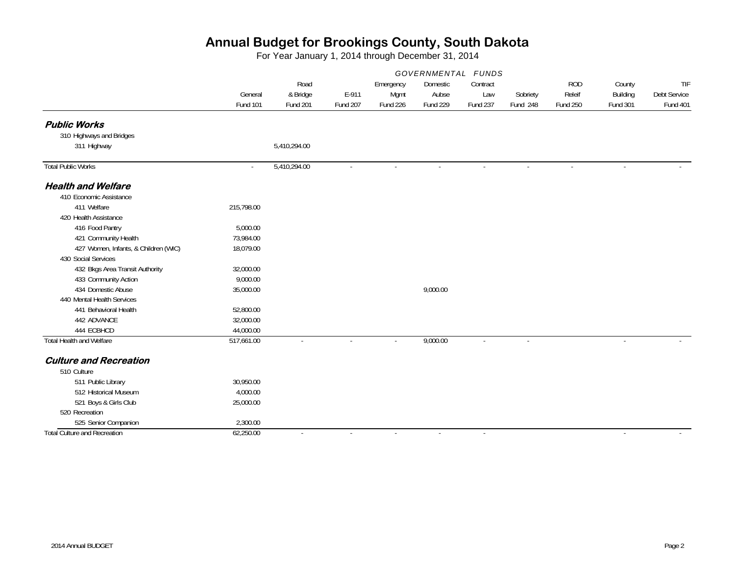|                                      | GOVERNMENTAL FUNDS |                  |          |                   |                   |                 |          |                      |                    |                     |
|--------------------------------------|--------------------|------------------|----------|-------------------|-------------------|-----------------|----------|----------------------|--------------------|---------------------|
|                                      | General            | Road<br>& Bridge | E-911    | Emergency<br>Mgmt | Domestic<br>Aubse | Contract<br>Law | Sobriety | <b>ROD</b><br>Releif | County<br>Building | TIF<br>Debt Service |
|                                      | <b>Fund 101</b>    | <b>Fund 201</b>  | Fund 207 | Fund 226          | Fund 229          | <b>Fund 237</b> | Fund 248 | <b>Fund 250</b>      | <b>Fund 301</b>    | <b>Fund 401</b>     |
| <b>Public Works</b>                  |                    |                  |          |                   |                   |                 |          |                      |                    |                     |
| 310 Highways and Bridges             |                    |                  |          |                   |                   |                 |          |                      |                    |                     |
| 311 Highway                          |                    | 5,410,294.00     |          |                   |                   |                 |          |                      |                    |                     |
| <b>Total Public Works</b>            | $\sim$             | 5,410,294.00     | $\sim$   | $\mathbf{r}$      | $\sim$            | $\sim$          | $\sim$   | ÷.                   | $\sim$             |                     |
| <b>Health and Welfare</b>            |                    |                  |          |                   |                   |                 |          |                      |                    |                     |
| 410 Economic Assistance              |                    |                  |          |                   |                   |                 |          |                      |                    |                     |
| 411 Welfare                          | 215,798.00         |                  |          |                   |                   |                 |          |                      |                    |                     |
| 420 Health Assistance                |                    |                  |          |                   |                   |                 |          |                      |                    |                     |
| 416 Food Pantry                      | 5,000.00           |                  |          |                   |                   |                 |          |                      |                    |                     |
| 421 Community Health                 | 73,984.00          |                  |          |                   |                   |                 |          |                      |                    |                     |
| 427 Women, Infants, & Children (WIC) | 18,079.00          |                  |          |                   |                   |                 |          |                      |                    |                     |
| 430 Social Services                  |                    |                  |          |                   |                   |                 |          |                      |                    |                     |
| 432 Bkgs Area Transit Authority      | 32,000.00          |                  |          |                   |                   |                 |          |                      |                    |                     |
| 433 Community Action                 | 9,000.00           |                  |          |                   |                   |                 |          |                      |                    |                     |
| 434 Domestic Abuse                   | 35,000.00          |                  |          |                   | 9,000.00          |                 |          |                      |                    |                     |
| 440 Mental Health Services           |                    |                  |          |                   |                   |                 |          |                      |                    |                     |
| 441 Behavioral Health                | 52,800.00          |                  |          |                   |                   |                 |          |                      |                    |                     |
| 442 ADVANCE                          | 32,000.00          |                  |          |                   |                   |                 |          |                      |                    |                     |
| 444 ECBHCD                           | 44,000.00          |                  |          |                   |                   |                 |          |                      |                    |                     |
| <b>Total Health and Welfare</b>      | 517,661.00         | $\sim$           | $\sim$   | $\sim$            | 9,000.00          | $\sim$          | $\sim$   |                      | $\sim$             |                     |
| <b>Culture and Recreation</b>        |                    |                  |          |                   |                   |                 |          |                      |                    |                     |
| 510 Culture                          |                    |                  |          |                   |                   |                 |          |                      |                    |                     |
| 511 Public Library                   | 30,950.00          |                  |          |                   |                   |                 |          |                      |                    |                     |
| 512 Historical Museum                | 4,000.00           |                  |          |                   |                   |                 |          |                      |                    |                     |
| 521 Boys & Girls Club                | 25,000.00          |                  |          |                   |                   |                 |          |                      |                    |                     |
| 520 Recreation                       |                    |                  |          |                   |                   |                 |          |                      |                    |                     |
| 525 Senior Companion                 | 2,300.00           |                  |          |                   |                   |                 |          |                      |                    |                     |
| <b>Total Culture and Recreation</b>  | 62,250.00          | $\sim$           | $\sim$   | $\sim$            | $\sim$            | $\sim$          |          |                      | $\sim$             |                     |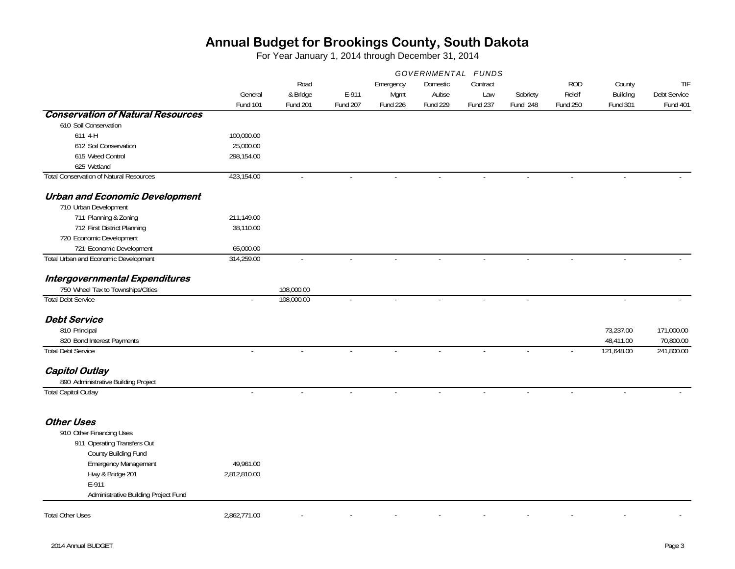|                                                | GOVERNMENTAL FUNDS         |                                     |                          |                               |                               |                             |                      |                                         |                                |                                        |
|------------------------------------------------|----------------------------|-------------------------------------|--------------------------|-------------------------------|-------------------------------|-----------------------------|----------------------|-----------------------------------------|--------------------------------|----------------------------------------|
|                                                | General<br><b>Fund 101</b> | Road<br>& Bridge<br><b>Fund 201</b> | E-911<br><b>Fund 207</b> | Emergency<br>Mgmt<br>Fund 226 | Domestic<br>Aubse<br>Fund 229 | Contract<br>Law<br>Fund 237 | Sobriety<br>Fund 248 | <b>ROD</b><br>Releif<br><b>Fund 250</b> | County<br>Building<br>Fund 301 | TIF<br>Debt Service<br><b>Fund 401</b> |
| <b>Conservation of Natural Resources</b>       |                            |                                     |                          |                               |                               |                             |                      |                                         |                                |                                        |
| 610 Soil Conservation                          |                            |                                     |                          |                               |                               |                             |                      |                                         |                                |                                        |
| 611 4-H                                        | 100,000.00                 |                                     |                          |                               |                               |                             |                      |                                         |                                |                                        |
| 612 Soil Conservation                          | 25,000.00                  |                                     |                          |                               |                               |                             |                      |                                         |                                |                                        |
| 615 Weed Control                               | 298,154.00                 |                                     |                          |                               |                               |                             |                      |                                         |                                |                                        |
| 625 Wetland                                    |                            |                                     |                          |                               |                               |                             |                      |                                         |                                |                                        |
| <b>Total Conservation of Natural Resources</b> | 423,154.00                 |                                     |                          |                               |                               |                             |                      |                                         |                                |                                        |
| <b>Urban and Economic Development</b>          |                            |                                     |                          |                               |                               |                             |                      |                                         |                                |                                        |
| 710 Urban Development                          |                            |                                     |                          |                               |                               |                             |                      |                                         |                                |                                        |
| 711 Planning & Zoning                          | 211,149.00                 |                                     |                          |                               |                               |                             |                      |                                         |                                |                                        |
| 712 First District Planning                    | 38,110.00                  |                                     |                          |                               |                               |                             |                      |                                         |                                |                                        |
| 720 Economic Development                       |                            |                                     |                          |                               |                               |                             |                      |                                         |                                |                                        |
| 721 Economic Development                       | 65,000.00                  |                                     |                          |                               |                               |                             |                      |                                         |                                |                                        |
| Total Urban and Economic Development           | 314,259.00                 | $\blacksquare$                      | $\sim$                   |                               |                               |                             |                      |                                         | $\mathbf{r}$                   |                                        |
| Intergovernmental Expenditures                 |                            |                                     |                          |                               |                               |                             |                      |                                         |                                |                                        |
| 750 Wheel Tax to Townships/Cities              |                            | 108,000.00                          |                          |                               |                               |                             |                      |                                         |                                |                                        |
| <b>Total Debt Service</b>                      | $\omega$                   | 108,000.00                          | $\bar{\phantom{a}}$      | $\sim$                        |                               | $\sim$                      |                      |                                         | $\mathcal{L}$                  |                                        |
| <b>Debt Service</b>                            |                            |                                     |                          |                               |                               |                             |                      |                                         |                                |                                        |
| 810 Principal                                  |                            |                                     |                          |                               |                               |                             |                      |                                         | 73,237.00                      | 171,000.00                             |
| 820 Bond Interest Payments                     |                            |                                     |                          |                               |                               |                             |                      |                                         | 48,411.00                      | 70,800.00                              |
| <b>Total Debt Service</b>                      |                            |                                     |                          |                               |                               |                             |                      |                                         | 121,648.00                     | 241,800.00                             |
| <b>Capitol Outlay</b>                          |                            |                                     |                          |                               |                               |                             |                      |                                         |                                |                                        |
| 890 Administrative Building Project            |                            |                                     |                          |                               |                               |                             |                      |                                         |                                |                                        |
| <b>Total Capitol Outlay</b>                    |                            |                                     |                          |                               |                               |                             |                      |                                         |                                |                                        |
| <b>Other Uses</b>                              |                            |                                     |                          |                               |                               |                             |                      |                                         |                                |                                        |
| 910 Other Financing Uses                       |                            |                                     |                          |                               |                               |                             |                      |                                         |                                |                                        |
| 911 Operating Transfers Out                    |                            |                                     |                          |                               |                               |                             |                      |                                         |                                |                                        |
| County Building Fund                           |                            |                                     |                          |                               |                               |                             |                      |                                         |                                |                                        |
| <b>Emergency Management</b>                    | 49,961.00                  |                                     |                          |                               |                               |                             |                      |                                         |                                |                                        |
| Hwy & Bridge 201                               | 2,812,810.00               |                                     |                          |                               |                               |                             |                      |                                         |                                |                                        |
| E-911                                          |                            |                                     |                          |                               |                               |                             |                      |                                         |                                |                                        |
| Administrative Building Project Fund           |                            |                                     |                          |                               |                               |                             |                      |                                         |                                |                                        |
|                                                |                            |                                     |                          |                               |                               |                             |                      |                                         |                                |                                        |
| <b>Total Other Uses</b>                        | 2,862,771.00               |                                     |                          |                               |                               |                             |                      |                                         |                                |                                        |